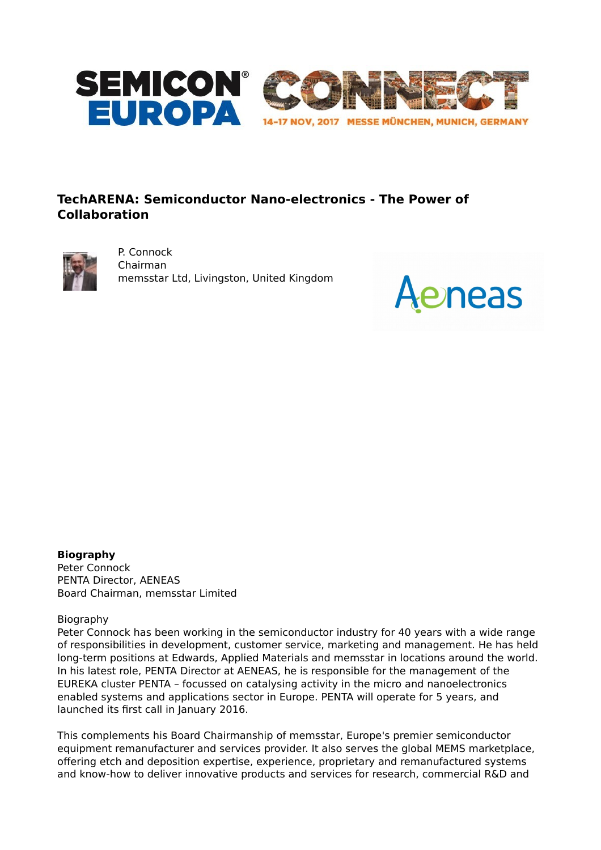

# **TechARENA: Semiconductor Nano-electronics - The Power of Collaboration**



P. Connock Chairman memsstar Ltd, Livingston, United Kingdom



**Biography** Peter Connock PENTA Director, AENEAS Board Chairman, memsstar Limited

Biography

Peter Connock has been working in the semiconductor industry for 40 years with a wide range of responsibilities in development, customer service, marketing and management. He has held long-term positions at Edwards, Applied Materials and memsstar in locations around the world. In his latest role, PENTA Director at AENEAS, he is responsible for the management of the EUREKA cluster PENTA – focussed on catalysing activity in the micro and nanoelectronics enabled systems and applications sector in Europe. PENTA will operate for 5 years, and launched its first call in January 2016.

This complements his Board Chairmanship of memsstar, Europe's premier semiconductor equipment remanufacturer and services provider. It also serves the global MEMS marketplace, offering etch and deposition expertise, experience, proprietary and remanufactured systems and know-how to deliver innovative products and services for research, commercial R&D and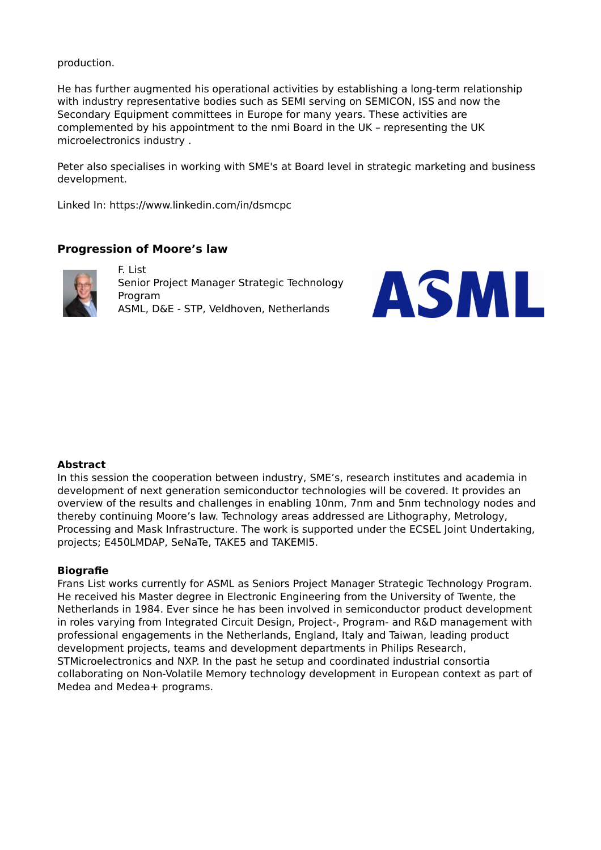production.

He has further augmented his operational activities by establishing a long-term relationship with industry representative bodies such as SEMI serving on SEMICON, ISS and now the Secondary Equipment committees in Europe for many years. These activities are complemented by his appointment to the nmi Board in the UK – representing the UK microelectronics industry .

Peter also specialises in working with SME's at Board level in strategic marketing and business development.

Linked In: https://www.linkedin.com/in/dsmcpc

### **Progression of Moore's law**



F. List Senior Project Manager Strategic Technology Program ASML, D&E - STP, Veldhoven, Netherlands



#### **Abstract**

In this session the cooperation between industry, SME's, research institutes and academia in development of next generation semiconductor technologies will be covered. It provides an overview of the results and challenges in enabling 10nm, 7nm and 5nm technology nodes and thereby continuing Moore's law. Technology areas addressed are Lithography, Metrology, Processing and Mask Infrastructure. The work is supported under the ECSEL Joint Undertaking, projects; E450LMDAP, SeNaTe, TAKE5 and TAKEMI5.

#### **Biografie**

Frans List works currently for ASML as Seniors Project Manager Strategic Technology Program. He received his Master degree in Electronic Engineering from the University of Twente, the Netherlands in 1984. Ever since he has been involved in semiconductor product development in roles varying from Integrated Circuit Design, Project-, Program- and R&D management with professional engagements in the Netherlands, England, Italy and Taiwan, leading product development projects, teams and development departments in Philips Research, STMicroelectronics and NXP. In the past he setup and coordinated industrial consortia collaborating on Non-Volatile Memory technology development in European context as part of Medea and Medea+ programs.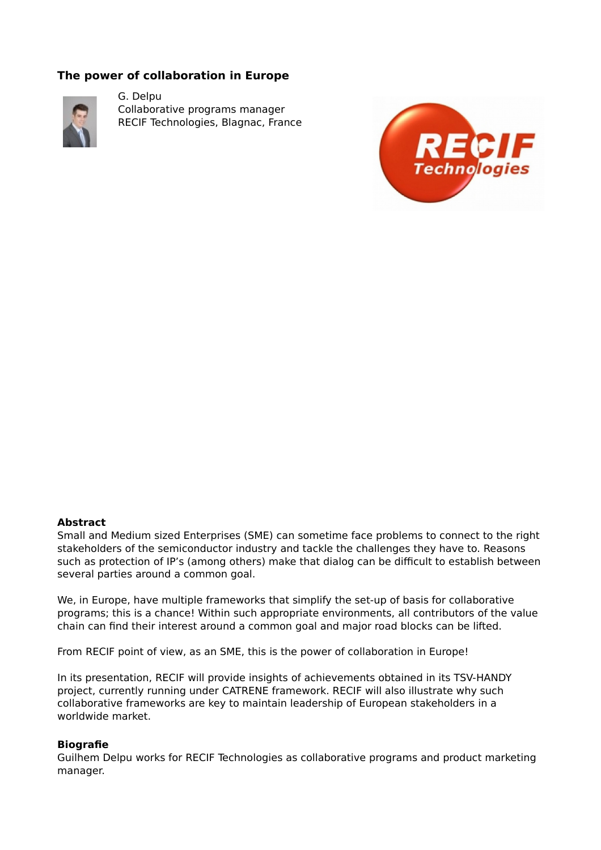## **The power of collaboration in Europe**



G. Delpu Collaborative programs manager RECIF Technologies, Blagnac, France



### **Abstract**

Small and Medium sized Enterprises (SME) can sometime face problems to connect to the right stakeholders of the semiconductor industry and tackle the challenges they have to. Reasons such as protection of IP's (among others) make that dialog can be difficult to establish between several parties around a common goal.

We, in Europe, have multiple frameworks that simplify the set-up of basis for collaborative programs; this is a chance! Within such appropriate environments, all contributors of the value chain can find their interest around a common goal and major road blocks can be lifted.

From RECIF point of view, as an SME, this is the power of collaboration in Europe!

In its presentation, RECIF will provide insights of achievements obtained in its TSV-HANDY project, currently running under CATRENE framework. RECIF will also illustrate why such collaborative frameworks are key to maintain leadership of European stakeholders in a worldwide market.

### **Biografie**

Guilhem Delpu works for RECIF Technologies as collaborative programs and product marketing manager.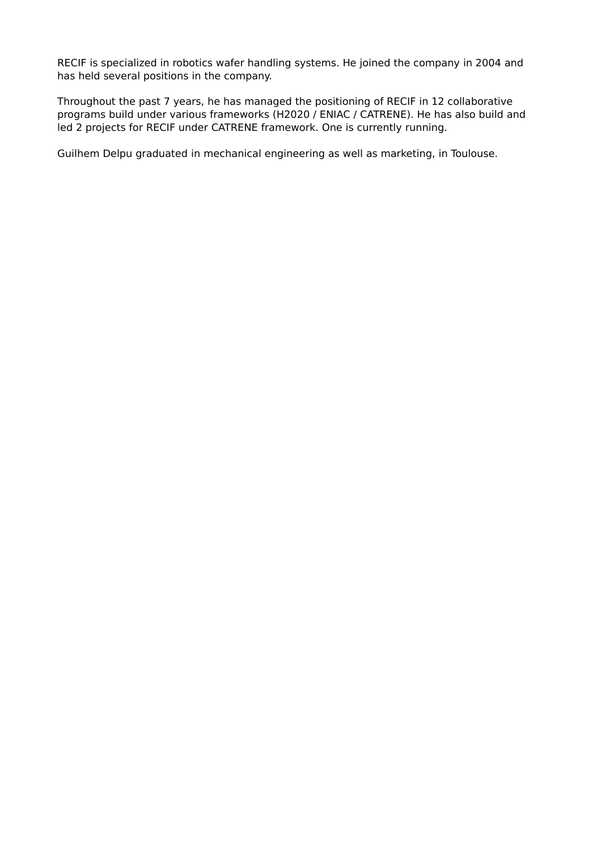RECIF is specialized in robotics wafer handling systems. He joined the company in 2004 and has held several positions in the company.

Throughout the past 7 years, he has managed the positioning of RECIF in 12 collaborative programs build under various frameworks (H2020 / ENIAC / CATRENE). He has also build and led 2 projects for RECIF under CATRENE framework. One is currently running.

Guilhem Delpu graduated in mechanical engineering as well as marketing, in Toulouse.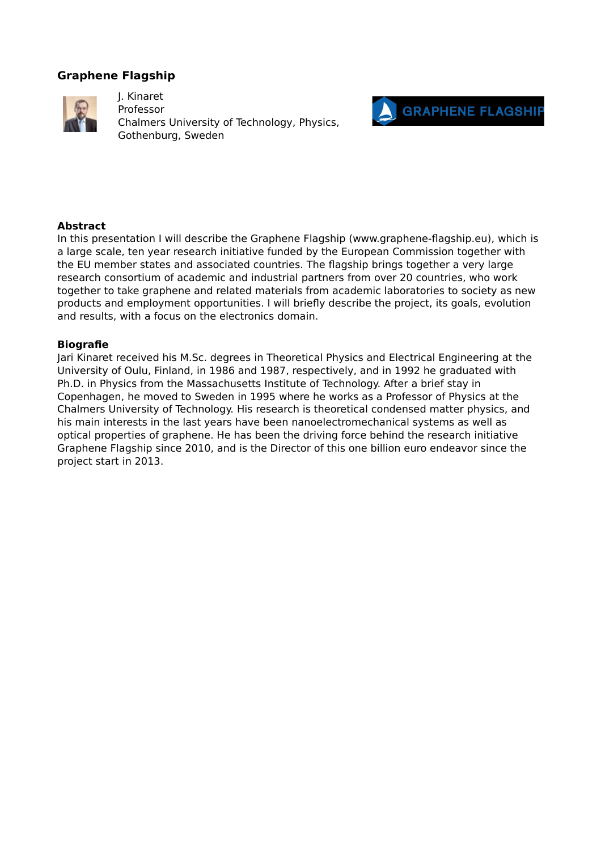## **Graphene Flagship**



J. Kinaret Professor Chalmers University of Technology, Physics, Gothenburg, Sweden



### **Abstract**

In this presentation I will describe the Graphene Flagship (www.graphene-flagship.eu), which is a large scale, ten year research initiative funded by the European Commission together with the EU member states and associated countries. The flagship brings together a very large research consortium of academic and industrial partners from over 20 countries, who work together to take graphene and related materials from academic laboratories to society as new products and employment opportunities. I will briefly describe the project, its goals, evolution and results, with a focus on the electronics domain.

### **Biografie**

Jari Kinaret received his M.Sc. degrees in Theoretical Physics and Electrical Engineering at the University of Oulu, Finland, in 1986 and 1987, respectively, and in 1992 he graduated with Ph.D. in Physics from the Massachusetts Institute of Technology. After a brief stay in Copenhagen, he moved to Sweden in 1995 where he works as a Professor of Physics at the Chalmers University of Technology. His research is theoretical condensed matter physics, and his main interests in the last years have been nanoelectromechanical systems as well as optical properties of graphene. He has been the driving force behind the research initiative Graphene Flagship since 2010, and is the Director of this one billion euro endeavor since the project start in 2013.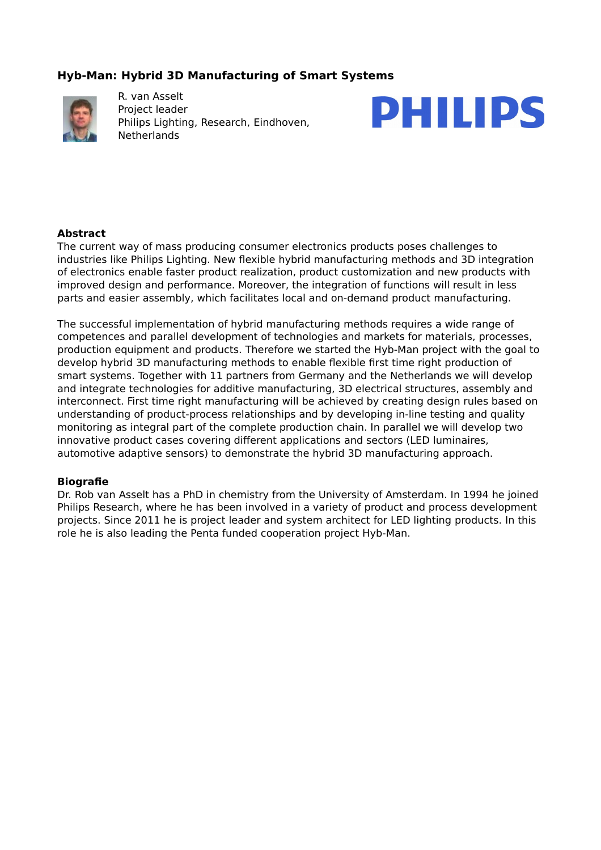## **Hyb-Man: Hybrid 3D Manufacturing of Smart Systems**



R. van Asselt Project leader Philips Lighting, Research, Eindhoven, **Netherlands** 



### **Abstract**

The current way of mass producing consumer electronics products poses challenges to industries like Philips Lighting. New flexible hybrid manufacturing methods and 3D integration of electronics enable faster product realization, product customization and new products with improved design and performance. Moreover, the integration of functions will result in less parts and easier assembly, which facilitates local and on-demand product manufacturing.

The successful implementation of hybrid manufacturing methods requires a wide range of competences and parallel development of technologies and markets for materials, processes, production equipment and products. Therefore we started the Hyb-Man project with the goal to develop hybrid 3D manufacturing methods to enable flexible first time right production of smart systems. Together with 11 partners from Germany and the Netherlands we will develop and integrate technologies for additive manufacturing, 3D electrical structures, assembly and interconnect. First time right manufacturing will be achieved by creating design rules based on understanding of product-process relationships and by developing in-line testing and quality monitoring as integral part of the complete production chain. In parallel we will develop two innovative product cases covering different applications and sectors (LED luminaires, automotive adaptive sensors) to demonstrate the hybrid 3D manufacturing approach.

### **Biografie**

Dr. Rob van Asselt has a PhD in chemistry from the University of Amsterdam. In 1994 he joined Philips Research, where he has been involved in a variety of product and process development projects. Since 2011 he is project leader and system architect for LED lighting products. In this role he is also leading the Penta funded cooperation project Hyb-Man.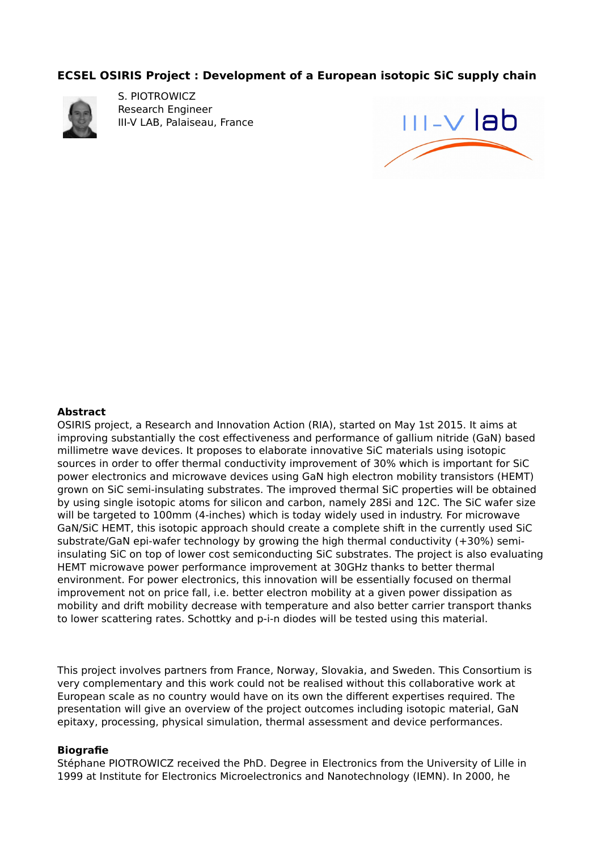### **ECSEL OSIRIS Project : Development of a European isotopic SiC supply chain**



S. PIOTROWICZ Research Engineer III-V LAB, Palaiseau, France



#### **Abstract**

OSIRIS project, a Research and Innovation Action (RIA), started on May 1st 2015. It aims at improving substantially the cost effectiveness and performance of gallium nitride (GaN) based millimetre wave devices. It proposes to elaborate innovative SiC materials using isotopic sources in order to offer thermal conductivity improvement of 30% which is important for SiC power electronics and microwave devices using GaN high electron mobility transistors (HEMT) grown on SiC semi-insulating substrates. The improved thermal SiC properties will be obtained by using single isotopic atoms for silicon and carbon, namely 28Si and 12C. The SiC wafer size will be targeted to 100mm (4-inches) which is today widely used in industry. For microwave GaN/SiC HEMT, this isotopic approach should create a complete shift in the currently used SiC substrate/GaN epi-wafer technology by growing the high thermal conductivity (+30%) semiinsulating SiC on top of lower cost semiconducting SiC substrates. The project is also evaluating HEMT microwave power performance improvement at 30GHz thanks to better thermal environment. For power electronics, this innovation will be essentially focused on thermal improvement not on price fall, i.e. better electron mobility at a given power dissipation as mobility and drift mobility decrease with temperature and also better carrier transport thanks to lower scattering rates. Schottky and p-i-n diodes will be tested using this material.

This project involves partners from France, Norway, Slovakia, and Sweden. This Consortium is very complementary and this work could not be realised without this collaborative work at European scale as no country would have on its own the different expertises required. The presentation will give an overview of the project outcomes including isotopic material, GaN epitaxy, processing, physical simulation, thermal assessment and device performances.

#### **Biografie**

Stéphane PIOTROWICZ received the PhD. Degree in Electronics from the University of Lille in 1999 at Institute for Electronics Microelectronics and Nanotechnology (IEMN). In 2000, he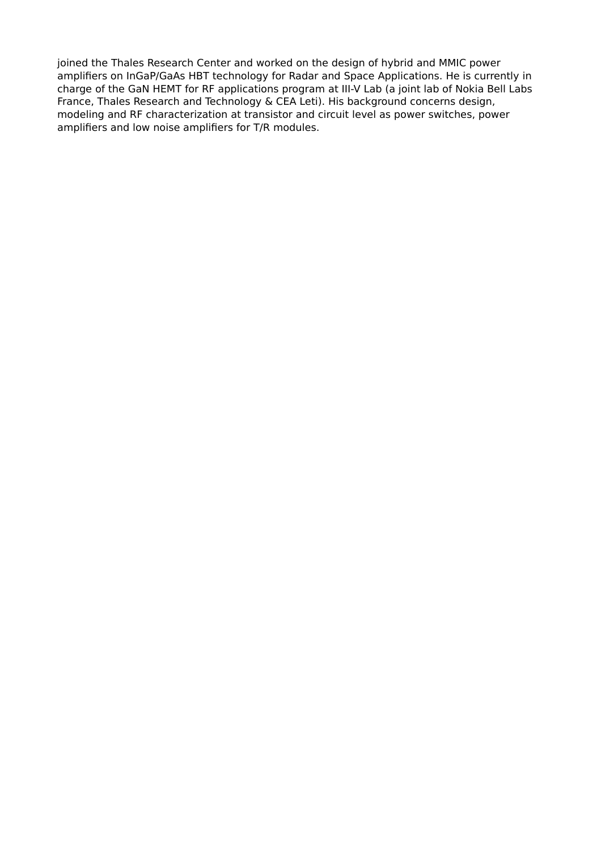joined the Thales Research Center and worked on the design of hybrid and MMIC power amplifiers on InGaP/GaAs HBT technology for Radar and Space Applications. He is currently in charge of the GaN HEMT for RF applications program at III-V Lab (a joint lab of Nokia Bell Labs France, Thales Research and Technology & CEA Leti). His background concerns design, modeling and RF characterization at transistor and circuit level as power switches, power amplifiers and low noise amplifiers for T/R modules.